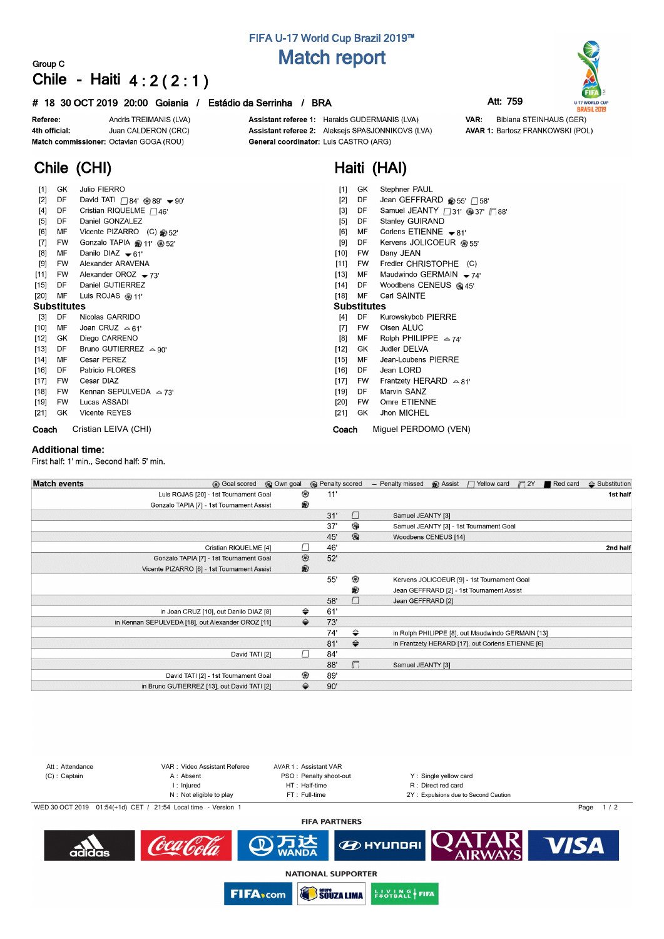# **FIFA U-17 World Cup Brazil 2019™ Match report**

## **Group C Chile - Haiti 4 : 2 ( 2 : 1 )**

## **# 18 30 OCT 2019 20:00 Goiania / Estádio da Serrinha / BRA Att: 759**

Andris TREIMANIS (LVA) Referee: Juan CALDERON (CRC) 4th official: Match commissioner: Octavian GOGA (ROU)

Assistant referee 1: Haralds GUDERMANIS (LVA) Assistant referee 2: Aleksejs SPASJONNIKOVS (LVA) General coordinator: Luis CASTRO (ARG)

**Haiti (HAI)**

VAR: Bibiana STEINHAUS (GER) **AVAR 1: Bartosz FRANKOWSKI (POL)** 

# **Chile (CHI)**

| $[1]$              | GK.       | <b>Julio FIERRO</b>                                      | $[1]$<br>GK<br>Stephner PAUL                                      |
|--------------------|-----------|----------------------------------------------------------|-------------------------------------------------------------------|
| $[2]$              | DF        | David TATI $\bigcap 84'$ @ 89' $\blacktriangleright$ 90' | $[2]$<br>DF<br>Jean GEFFRARD @ 55' $\Box$ 58'                     |
| $[4]$              | DF        | Cristian RIQUELME $\Box$ 46'                             | Samuel JEANTY <sup>31'</sup> <sup>\$37</sup> ' 58"<br>$[3]$<br>DF |
| $[5]$              | DF        | Daniel GONZALEZ                                          | Stanley GUIRAND<br>[5]<br>DF                                      |
| [6]                | MF        | Vicente PIZARRO (C) 352'                                 | [6]<br>Corlens ETIENNE $\bullet$ 81'<br>МF                        |
| $[7]$              | <b>FW</b> | Gonzalo TAPIA @ 11' @ 52'                                | Kervens JOLICOEUR @ 55'<br>[9]<br>DF                              |
| [8]                | MF        | Danilo DIAZ $\bullet$ 61'                                | $[10]$<br>Dany JEAN<br>FW                                         |
| [9]                | FW        | Alexander ARAVENA                                        | $[11]$<br>Fredler CHRISTOPHE (C)<br>FW                            |
| [11]               | FW        | Alexander OROZ $-73'$                                    | $[13]$<br>Maudwindo GERMAIN $-74$<br>MF                           |
| $[15]$             | DF        | Daniel GUTIERREZ                                         | $[14]$<br>Woodbens CENEUS @ 45'<br>DF.                            |
| $[20]$             | MF        | Luis ROJAS $@11'$                                        | [18]<br>MF<br>Carl SAINTE                                         |
| <b>Substitutes</b> |           |                                                          | <b>Substitutes</b>                                                |
| $[3]$              | DF        | Nicolas GARRIDO                                          | [4]<br>DF<br>Kurowskybob PIERRE                                   |
| $[10]$             | MF        | Joan CRUZ $\approx$ 61'                                  | Olsen ALUC<br><b>FW</b><br>[7]                                    |
| $[12]$             | GK        | Diego CARRENO                                            | Rolph PHILIPPE $\approx 74$<br>[8]<br>МF                          |
| $[13]$             | DF        | Bruno GUTIERREZ $\approx 90^\circ$                       | $[12]$<br>Judler DELVA<br>GK                                      |
| $[14]$             | MF        | Cesar PEREZ                                              | $[15]$<br>Jean-Loubens PIERRE<br>MF                               |
| [16]               | DF        | Patricio FLORES                                          | Jean LORD<br>$[16]$<br>DF.                                        |
| $[17]$             | <b>FW</b> | Cesar DIAZ                                               | $[17]$<br>Frantzety HERARD $\approx 81'$<br><b>FW</b>             |
| [18]               | FW        | Kennan SEPULVEDA $\approx$ 73'                           | [19]<br>Marvin SANZ<br>DF                                         |
| [19]               | <b>FW</b> | Lucas ASSADI                                             | Omre ETIENNE<br>$[20]$<br>FW                                      |
| [21]               | GK.       | <b>Vicente REYES</b>                                     | Jhon MICHEL<br>[21]<br>GK                                         |
| Coach              |           | Cristian LEIVA (CHI)                                     | Miquel PERDOMO (VEN)<br>Coach                                     |

### **Additional time:**

First half: 1' min., Second half: 5' min.

| <b>Match events</b><br><b>B</b> Goal scored       | © Own goal     | <b>B</b> Penalty scored |                      | <b>B</b> Assist<br>- Penalty missed<br>$\Box$ Yellow card<br>$\Box$ 2Y<br>Red card | $\triangle$ Substitution |
|---------------------------------------------------|----------------|-------------------------|----------------------|------------------------------------------------------------------------------------|--------------------------|
| Luis ROJAS [20] - 1st Tournament Goal             | ⊛              | 11'                     |                      |                                                                                    | 1st half                 |
| Gonzalo TAPIA [7] - 1st Tournament Assist         | ®              |                         |                      |                                                                                    |                          |
|                                                   |                | 31'                     | $\Box$               | Samuel JEANTY [3]                                                                  |                          |
|                                                   |                | 37'                     | ⊕                    | Samuel JEANTY [3] - 1st Tournament Goal                                            |                          |
|                                                   |                | 45'                     | $\circledcirc$       | Woodbens CENEUS [14]                                                               |                          |
| Cristian RIQUELME [4]                             |                | 46'                     |                      |                                                                                    | 2nd half                 |
| Gonzalo TAPIA [7] - 1st Tournament Goal           | $^{\circledR}$ | 52'                     |                      |                                                                                    |                          |
| Vicente PIZARRO [6] - 1st Tournament Assist       | $\circledR$    |                         |                      |                                                                                    |                          |
|                                                   |                | 55'                     | ⊛                    | Kervens JOLICOEUR [9] - 1st Tournament Goal                                        |                          |
|                                                   |                |                         | ®                    | Jean GEFFRARD [2] - 1st Tournament Assist                                          |                          |
|                                                   |                | 58'                     | $\Box$               | Jean GEFFRARD [2]                                                                  |                          |
| in Joan CRUZ [10], out Danilo DIAZ [8]            | ⇔              | 61'                     |                      |                                                                                    |                          |
| in Kennan SEPULVEDA [18], out Alexander OROZ [11] | ⇔              | 73'                     |                      |                                                                                    |                          |
|                                                   |                | 74'                     | ⇔                    | in Rolph PHILIPPE [8], out Maudwindo GERMAIN [13]                                  |                          |
|                                                   |                | 81'                     | $\Rightarrow$        | in Frantzety HERARD [17], out Corlens ETIENNE [6]                                  |                          |
| David TATI [2]                                    | Г              | 84'                     |                      |                                                                                    |                          |
|                                                   |                | 88'                     | $\sqrt{\phantom{.}}$ | Samuel JEANTY [3]                                                                  |                          |
| David TATI [2] - 1st Tournament Goal              | ◉              | 89'                     |                      |                                                                                    |                          |
| in Bruno GUTIERREZ [13], out David TATI [2]       | ⇔              | 90'                     |                      |                                                                                    |                          |



**NATIONAL SUPPORTER SOUZA LIMA** 

**FIFA**<sub>com</sub>

**EN VING FIFA**